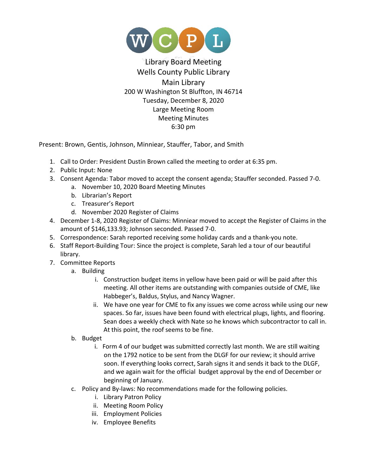

## Library Board Meeting Wells County Public Library Main Library 200 W Washington St Bluffton, IN 46714 Tuesday, December 8, 2020 Large Meeting Room Meeting Minutes 6:30 pm

Present: Brown, Gentis, Johnson, Minniear, Stauffer, Tabor, and Smith

- 1. Call to Order: President Dustin Brown called the meeting to order at 6:35 pm.
- 2. Public Input: None
- 3. Consent Agenda: Tabor moved to accept the consent agenda; Stauffer seconded. Passed 7-0.
	- a. November 10, 2020 Board Meeting Minutes
	- b. Librarian's Report
	- c. Treasurer's Report
	- d. November 2020 Register of Claims
- 4. December 1-8, 2020 Register of Claims: Minniear moved to accept the Register of Claims in the amount of \$146,133.93; Johnson seconded. Passed 7-0.
- 5. Correspondence: Sarah reported receiving some holiday cards and a thank-you note.
- 6. Staff Report-Building Tour: Since the project is complete, Sarah led a tour of our beautiful library.
- 7. Committee Reports
	- a. Building
		- i. Construction budget items in yellow have been paid or will be paid after this meeting. All other items are outstanding with companies outside of CME, like Habbeger's, Baldus, Stylus, and Nancy Wagner.
		- ii. We have one year for CME to fix any issues we come across while using our new spaces. So far, issues have been found with electrical plugs, lights, and flooring. Sean does a weekly check with Nate so he knows which subcontractor to call in. At this point, the roof seems to be fine.
	- b. Budget
		- i. Form 4 of our budget was submitted correctly last month. We are still waiting on the 1792 notice to be sent from the DLGF for our review; it should arrive soon. If everything looks correct, Sarah signs it and sends it back to the DLGF, and we again wait for the official budget approval by the end of December or beginning of January.
	- c. Policy and By-laws: No recommendations made for the following policies.
		- i. Library Patron Policy
		- ii. Meeting Room Policy
		- iii. Employment Policies
		- iv. Employee Benefits